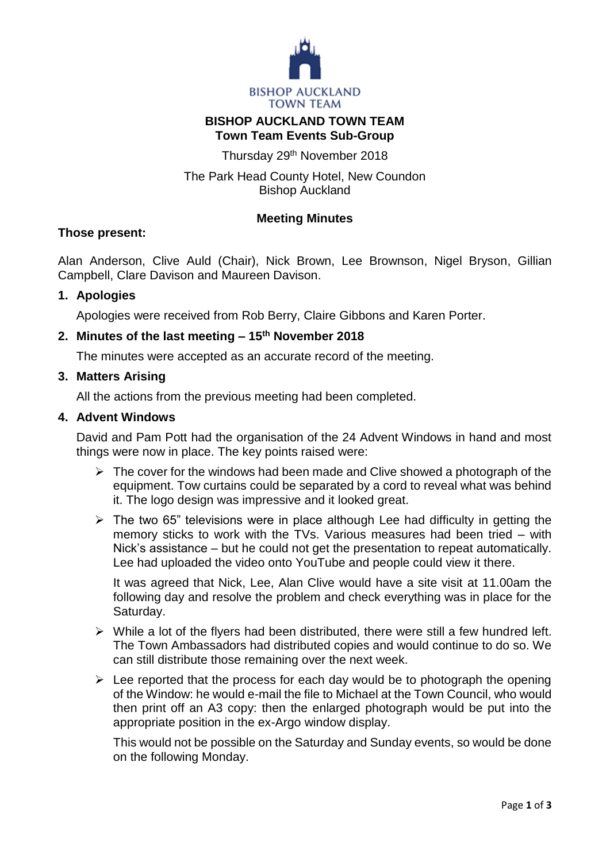

## **BISHOP AUCKLAND TOWN TEAM Town Team Events Sub-Group**

Thursday 29th November 2018

# The Park Head County Hotel, New Coundon Bishop Auckland

## **Meeting Minutes**

### **Those present:**

Alan Anderson, Clive Auld (Chair), Nick Brown, Lee Brownson, Nigel Bryson, Gillian Campbell, Clare Davison and Maureen Davison.

### **1. Apologies**

Apologies were received from Rob Berry, Claire Gibbons and Karen Porter.

## **2. Minutes of the last meeting – 15 th November 2018**

The minutes were accepted as an accurate record of the meeting.

### **3. Matters Arising**

All the actions from the previous meeting had been completed.

### **4. Advent Windows**

David and Pam Pott had the organisation of the 24 Advent Windows in hand and most things were now in place. The key points raised were:

- $\triangleright$  The cover for the windows had been made and Clive showed a photograph of the equipment. Tow curtains could be separated by a cord to reveal what was behind it. The logo design was impressive and it looked great.
- $\triangleright$  The two 65" televisions were in place although Lee had difficulty in getting the memory sticks to work with the TVs. Various measures had been tried – with Nick's assistance – but he could not get the presentation to repeat automatically. Lee had uploaded the video onto YouTube and people could view it there.

It was agreed that Nick, Lee, Alan Clive would have a site visit at 11.00am the following day and resolve the problem and check everything was in place for the Saturday.

- $\triangleright$  While a lot of the flyers had been distributed, there were still a few hundred left. The Town Ambassadors had distributed copies and would continue to do so. We can still distribute those remaining over the next week.
- $\triangleright$  Lee reported that the process for each day would be to photograph the opening of the Window: he would e-mail the file to Michael at the Town Council, who would then print off an A3 copy: then the enlarged photograph would be put into the appropriate position in the ex-Argo window display.

This would not be possible on the Saturday and Sunday events, so would be done on the following Monday.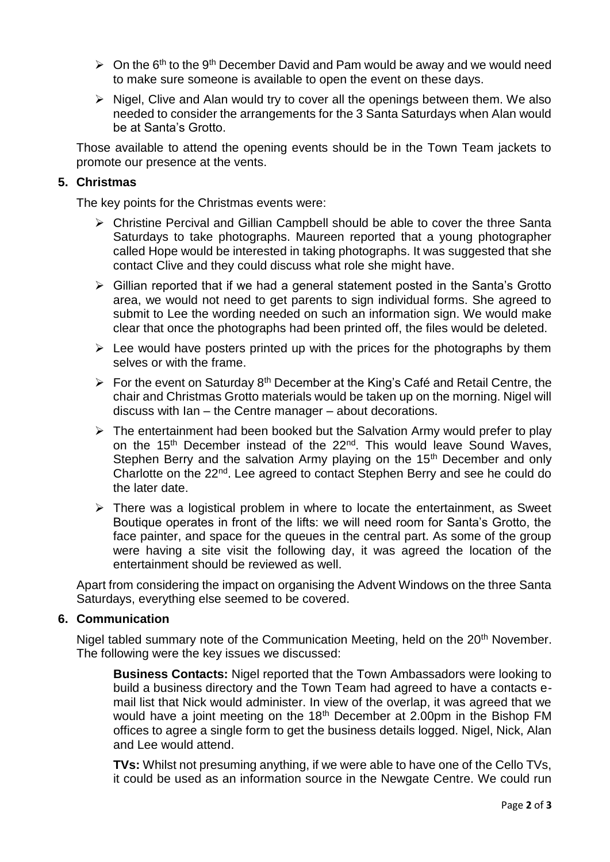- $\geq$  On the 6<sup>th</sup> to the 9<sup>th</sup> December David and Pam would be away and we would need to make sure someone is available to open the event on these days.
- $\triangleright$  Nigel, Clive and Alan would try to cover all the openings between them. We also needed to consider the arrangements for the 3 Santa Saturdays when Alan would be at Santa's Grotto.

Those available to attend the opening events should be in the Town Team jackets to promote our presence at the vents.

### **5. Christmas**

The key points for the Christmas events were:

- Christine Percival and Gillian Campbell should be able to cover the three Santa Saturdays to take photographs. Maureen reported that a young photographer called Hope would be interested in taking photographs. It was suggested that she contact Clive and they could discuss what role she might have.
- $\triangleright$  Gillian reported that if we had a general statement posted in the Santa's Grotto area, we would not need to get parents to sign individual forms. She agreed to submit to Lee the wording needed on such an information sign. We would make clear that once the photographs had been printed off, the files would be deleted.
- $\triangleright$  Lee would have posters printed up with the prices for the photographs by them selves or with the frame.
- For the event on Saturday  $8<sup>th</sup>$  December at the King's Café and Retail Centre, the chair and Christmas Grotto materials would be taken up on the morning. Nigel will discuss with Ian – the Centre manager – about decorations.
- $\triangleright$  The entertainment had been booked but the Salvation Army would prefer to play on the 15<sup>th</sup> December instead of the 22<sup>nd</sup>. This would leave Sound Waves, Stephen Berry and the salvation Army playing on the 15<sup>th</sup> December and only Charlotte on the 22nd. Lee agreed to contact Stephen Berry and see he could do the later date.
- $\triangleright$  There was a logistical problem in where to locate the entertainment, as Sweet Boutique operates in front of the lifts: we will need room for Santa's Grotto, the face painter, and space for the queues in the central part. As some of the group were having a site visit the following day, it was agreed the location of the entertainment should be reviewed as well.

Apart from considering the impact on organising the Advent Windows on the three Santa Saturdays, everything else seemed to be covered.

#### **6. Communication**

Nigel tabled summary note of the Communication Meeting, held on the 20<sup>th</sup> November. The following were the key issues we discussed:

**Business Contacts:** Nigel reported that the Town Ambassadors were looking to build a business directory and the Town Team had agreed to have a contacts email list that Nick would administer. In view of the overlap, it was agreed that we would have a joint meeting on the 18<sup>th</sup> December at 2.00pm in the Bishop FM offices to agree a single form to get the business details logged. Nigel, Nick, Alan and Lee would attend.

**TVs:** Whilst not presuming anything, if we were able to have one of the Cello TVs, it could be used as an information source in the Newgate Centre. We could run